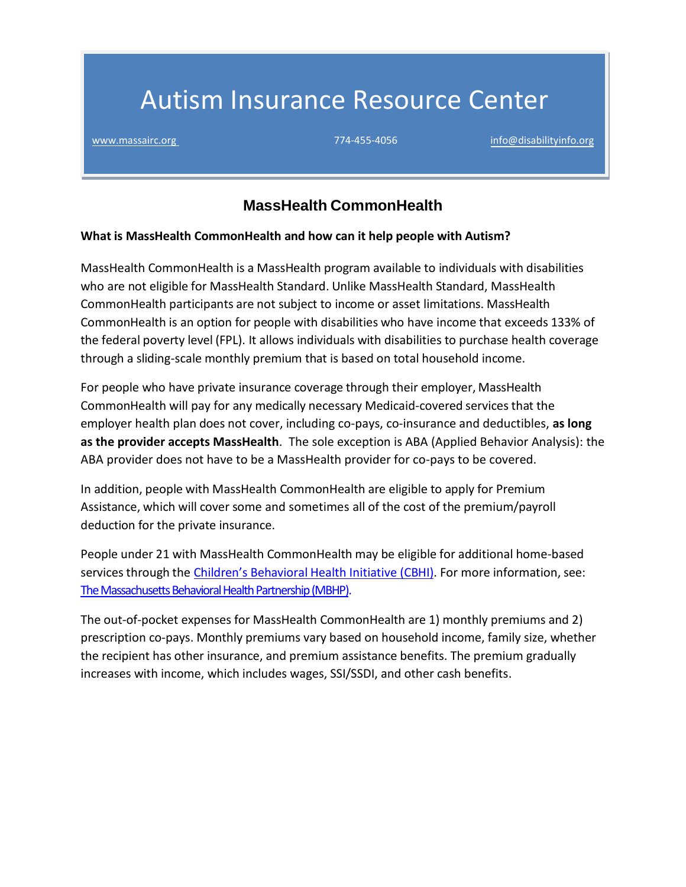# Autism Insurance Resource Center

[www.massairc.org](https://massairc.org/) 774-455-4056 [info@disabilityinfo.org](mailto:info@disabilityinfo.org) 774-455-4056 info@disabilityinfo.org

# **MassHealth CommonHealth**

#### **What is MassHealth CommonHealth and how can it help people with Autism?**

MassHealth CommonHealth is a MassHealth program available to individuals with disabilities who are not eligible for MassHealth Standard. Unlike MassHealth Standard, MassHealth CommonHealth participants are not subject to income or asset limitations. MassHealth CommonHealth is an option for people with disabilities who have income that exceeds 133% of the federal poverty level (FPL). It allows individuals with disabilities to purchase health coverage through a sliding-scale monthly premium that is based on total household income.

For people who have private insurance coverage through their employer, MassHealth CommonHealth will pay for any medically necessary Medicaid-covered services that the employer health plan does not cover, including co-pays, co-insurance and deductibles, **as long as the provider accepts MassHealth**. The sole exception is ABA (Applied Behavior Analysis): the ABA provider does not have to be a MassHealth provider for co-pays to be covered.

In addition, people with MassHealth CommonHealth are eligible to apply for Premium Assistance, which will cover some and sometimes all of the cost of the premium/payroll deduction for the private insurance.

People under 21 with MassHealth CommonHealth may be eligible for additional home-based services through the *Children's Behavioral Health Initiative (CBHI)*. For more information, see: [The Massachusetts Behavioral Health Partnership \(MBHP\).](http://www.masspartnership.com/)

The out-of-pocket expenses for MassHealth CommonHealth are 1) monthly premiums and 2) prescription co-pays. Monthly premiums vary based on household income, family size, whether the recipient has other insurance, and premium assistance benefits. The premium gradually increases with income, which includes wages, SSI/SSDI, and other cash benefits.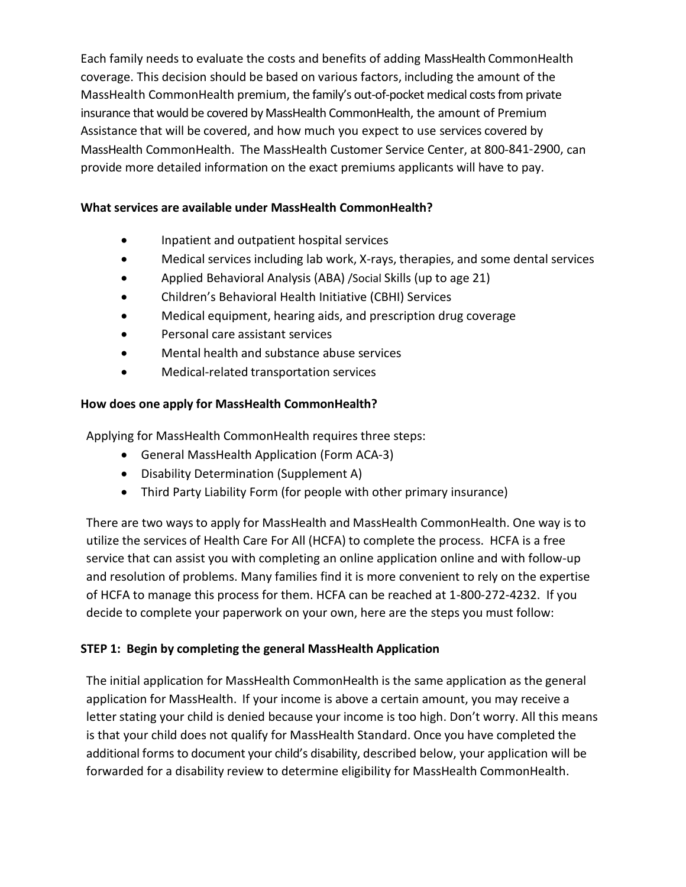Each family needs to evaluate the costs and benefits of adding MassHealth CommonHealth coverage. This decision should be based on various factors, including the amount of the MassHealth CommonHealth premium, the family's out-of-pocket medical costs from private insurance that would be covered by MassHealth CommonHealth, the amount of Premium Assistance that will be covered, and how much you expect to use services covered by MassHealth CommonHealth. The MassHealth Customer Service Center, at 800-841-2900, can provide more detailed information on the exact premiums applicants will have to pay.

## **What services are available under MassHealth CommonHealth?**

- Inpatient and outpatient hospital services
- Medical services including lab work, X-rays, therapies, and some dental services
- Applied Behavioral Analysis (ABA) /Social Skills (up to age 21)
- Children's Behavioral Health Initiative (CBHI) Services
- Medical equipment, hearing aids, and prescription drug coverage
- Personal care assistant services
- Mental health and substance abuse services
- Medical-related transportation services

## **How does one apply for MassHealth CommonHealth?**

Applying for MassHealth CommonHealth requires three steps:

- General MassHealth Application (Form ACA-3)
- Disability Determination (Supplement A)
- Third Party Liability Form (for people with other primary insurance)

There are two ways to apply for MassHealth and MassHealth CommonHealth. One way is to utilize the services of Health Care For All (HCFA) to complete the process. HCFA is a free service that can assist you with completing an online application online and with follow-up and resolution of problems. Many families find it is more convenient to rely on the expertise of HCFA to manage this process for them. HCFA can be reached at 1-800-272-4232. If you decide to complete your paperwork on your own, here are the steps you must follow:

## **STEP 1: Begin by completing the general MassHealth Application**

The initial application for MassHealth CommonHealth is the same application as the general application for MassHealth. If your income is above a certain amount, you may receive a letter stating your child is denied because your income is too high. Don't worry. All this means is that your child does not qualify for MassHealth Standard. Once you have completed the additional forms to document your child's disability, described below, your application will be forwarded for a disability review to determine eligibility for MassHealth CommonHealth.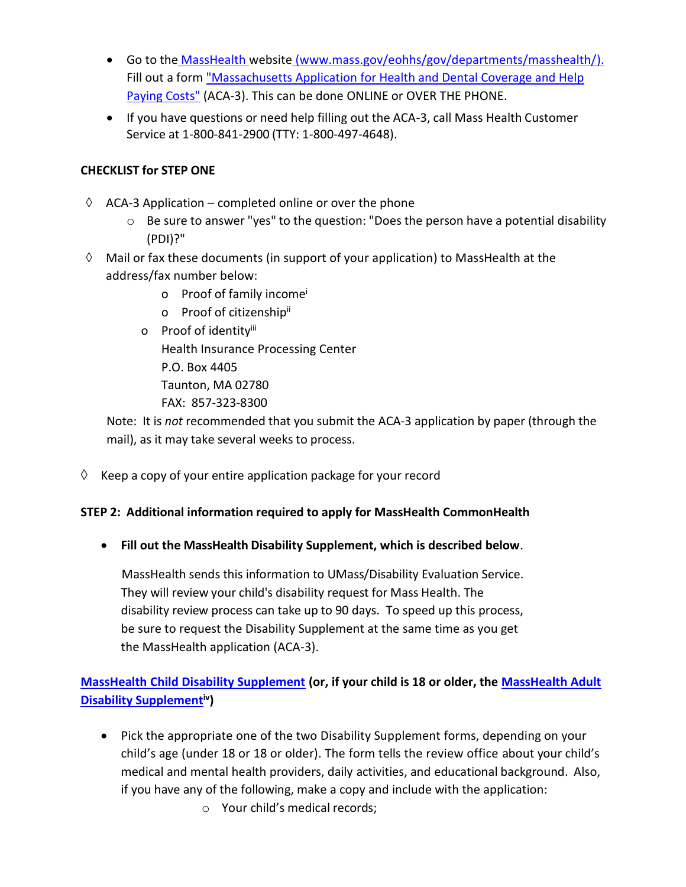- Go to the [MassHealth](http://www.mass.gov/eohhs/gov/departments/masshealth/) website [\(www.mass.gov/eohhs/gov/departments/masshealth/\)](http://www.mass.gov/eohhs/gov/departments/masshealth/). Fill out a form ["Massachusetts Application for Health and Dental Coverage and Help](https://www.mass.gov/lists/masshealth-member-applications#massachusetts-application-for-health-and-dental-coverage-and-help-paying-costs-[aca-3-(10/18)]-)  [Paying Costs"](https://www.mass.gov/lists/masshealth-member-applications#massachusetts-application-for-health-and-dental-coverage-and-help-paying-costs-[aca-3-(10/18)]-) (ACA-3). This can be done ONLINE or OVER THE PHONE.
- If you have questions or need help filling out the ACA-3, call Mass Health Customer Service at 1-800-841-2900 (TTY: 1-800-497-4648).

## **CHECKLIST for STEP ONE**

- $\Diamond$  ACA-3 Application completed online or over the phone
	- o Be sure to answer "yes" to the question: "Does the person have a potential disability (PDI)?"
- $\Diamond$  Mail or fax these documents (in support of your application) to MassHealth at the address/fax number below:
	- o Proof of family income<sup>i</sup>
	- o Proof of citizenship<sup>ii</sup>
	- o Proof of identityiii

Health Insurance Processing Center

P.O. Box 4405

Taunton, MA 02780

FAX: 857-323-8300

Note: It is *not* recommended that you submit the ACA-3 application by paper (through the mail), as it may take several weeks to process.

 $\Diamond$  Keep a copy of your entire application package for your record

## **STEP 2: Additional information required to apply for MassHealth CommonHealth**

• **Fill out the MassHealth Disability Supplement, which is described below**.

MassHealth sends this information to UMass/Disability Evaluation Service. They will review your child's disability request for Mass Health. The disability review process can take up to 90 days. To speed up this process, be sure to request the Disability Supplement at the same time as you get the MassHealth application (ACA-3).

## **[MassHealth Child Disability Supplement](https://www.mass.gov/files/documents/2016/11/uz/mads-child.pdf) (or, if your child is 18 or older, the [MassHealth Adult](https://www.mass.gov/files/documents/2016/07/vf/mads-adult.pdf)  [Disability Supplement](https://www.mass.gov/files/documents/2016/07/vf/mads-adult.pdf)iv)**

• Pick the appropriate one of the two Disability Supplement forms, depending on your child's age (under 18 or 18 or older). The form tells the review office about your child's medical and mental health providers, daily activities, and educational background. Also, if you have any of the following, make a copy and include with the application:

o Your child's medical records;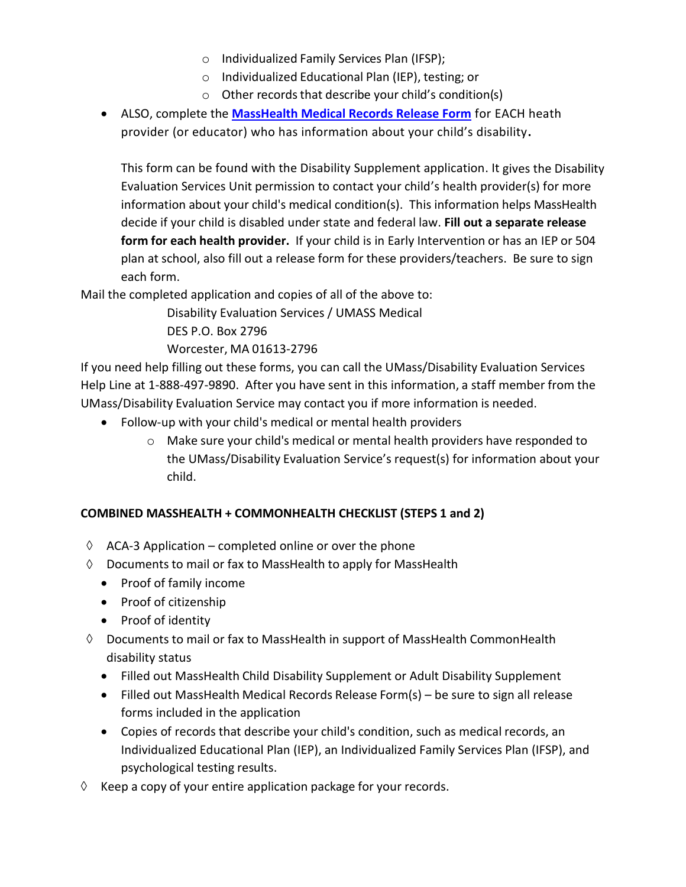- o Individualized Family Services Plan (IFSP);
- o Individualized Educational Plan (IEP), testing; or
- o Other records that describe your child's condition(s)
- ALSO, complete the **[MassHealth Medical Records Release Form](https://www.mass.gov/files/documents/2016/07/rn/mads-mr.pdf)** for EACH heath provider (or educator) who has information about your child's disability**.**

This form can be found with the Disability Supplement application. It gives the Disability Evaluation Services Unit permission to contact your child's health provider(s) for more information about your child's medical condition(s). This information helps MassHealth decide if your child is disabled under state and federal law. **Fill out a separate release form for each health provider.** If your child is in Early Intervention or has an IEP or 504 plan at school, also fill out a release form for these providers/teachers. Be sure to sign each form.

Mail the completed application and copies of all of the above to:

Disability Evaluation Services / UMASS Medical DES P.O. Box 2796

Worcester, MA 01613-2796

If you need help filling out these forms, you can call the UMass/Disability Evaluation Services Help Line at 1-888-497-9890. After you have sent in this information, a staff member from the UMass/Disability Evaluation Service may contact you if more information is needed.

- Follow-up with your child's medical or mental health providers
	- o Make sure your child's medical or mental health providers have responded to the UMass/Disability Evaluation Service's request(s) for information about your child.

## **COMBINED MASSHEALTH + COMMONHEALTH CHECKLIST (STEPS 1 and 2)**

- $\Diamond$  ACA-3 Application completed online or over the phone
- $\Diamond$  Documents to mail or fax to MassHealth to apply for MassHealth
	- Proof of family income
	- Proof of citizenship
	- Proof of identity
- $\Diamond$  Documents to mail or fax to MassHealth in support of MassHealth CommonHealth disability status
	- Filled out MassHealth Child Disability Supplement or Adult Disability Supplement
	- Filled out MassHealth Medical Records Release Form(s) be sure to sign all release forms included in the application
	- Copies of records that describe your child's condition, such as medical records, an Individualized Educational Plan (IEP), an Individualized Family Services Plan (IFSP), and psychological testing results.
- $\Diamond$  Keep a copy of your entire application package for your records.